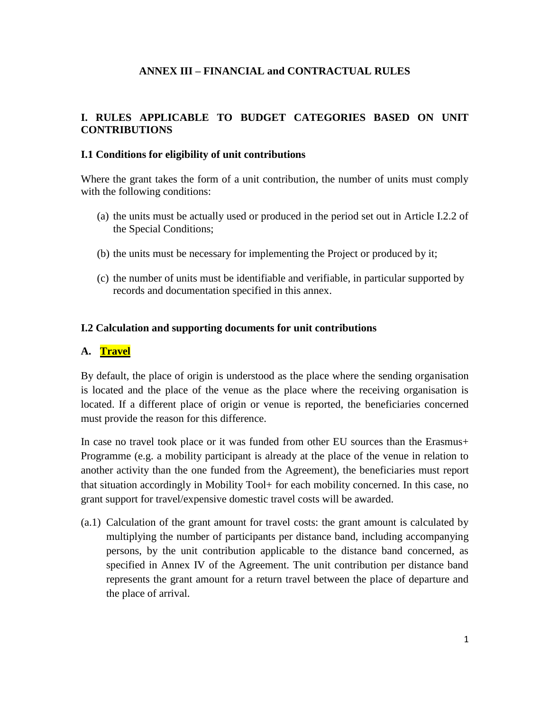## **ANNEX III – FINANCIAL and CONTRACTUAL RULES**

### **I. RULES APPLICABLE TO BUDGET CATEGORIES BASED ON UNIT CONTRIBUTIONS**

#### **I.1 Conditions for eligibility of unit contributions**

Where the grant takes the form of a unit contribution, the number of units must comply with the following conditions:

- (a) the units must be actually used or produced in the period set out in Article I.2.2 of the Special Conditions;
- (b) the units must be necessary for implementing the Project or produced by it;
- (c) the number of units must be identifiable and verifiable, in particular supported by records and documentation specified in this annex.

#### **I.2 Calculation and supporting documents for unit contributions**

### **A. Travel**

By default, the place of origin is understood as the place where the sending organisation is located and the place of the venue as the place where the receiving organisation is located. If a different place of origin or venue is reported, the beneficiaries concerned must provide the reason for this difference.

In case no travel took place or it was funded from other EU sources than the Erasmus+ Programme (e.g. a mobility participant is already at the place of the venue in relation to another activity than the one funded from the Agreement), the beneficiaries must report that situation accordingly in Mobility Tool+ for each mobility concerned. In this case, no grant support for travel/expensive domestic travel costs will be awarded.

(a.1) Calculation of the grant amount for travel costs: the grant amount is calculated by multiplying the number of participants per distance band, including accompanying persons, by the unit contribution applicable to the distance band concerned, as specified in Annex IV of the Agreement. The unit contribution per distance band represents the grant amount for a return travel between the place of departure and the place of arrival.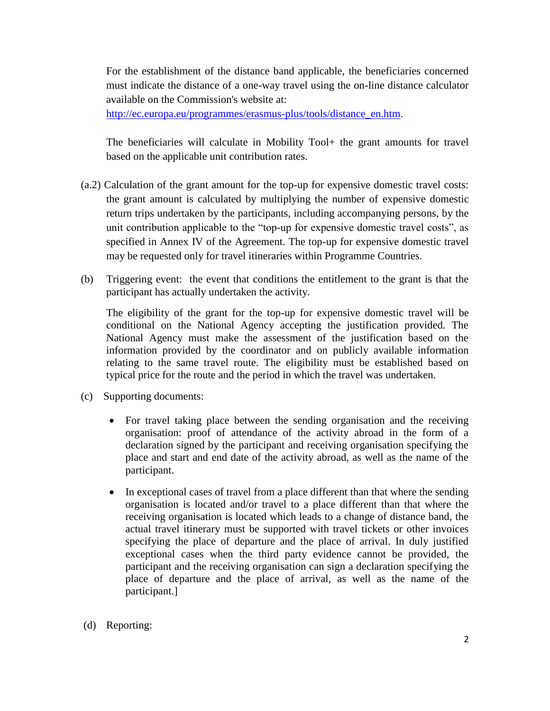For the establishment of the distance band applicable, the beneficiaries concerned must indicate the distance of a one-way travel using the on-line distance calculator available on the Commission's website at:

[http://ec.europa.eu/programmes/erasmus-plus/tools/distance\\_en.htm.](http://ec.europa.eu/programmes/erasmus-plus/tools/distance_en.htm)

The beneficiaries will calculate in Mobility Tool+ the grant amounts for travel based on the applicable unit contribution rates.

- (a.2) Calculation of the grant amount for the top-up for expensive domestic travel costs: the grant amount is calculated by multiplying the number of expensive domestic return trips undertaken by the participants, including accompanying persons, by the unit contribution applicable to the "top-up for expensive domestic travel costs", as specified in Annex IV of the Agreement. The top-up for expensive domestic travel may be requested only for travel itineraries within Programme Countries.
- (b) Triggering event: the event that conditions the entitlement to the grant is that the participant has actually undertaken the activity.

The eligibility of the grant for the top-up for expensive domestic travel will be conditional on the National Agency accepting the justification provided. The National Agency must make the assessment of the justification based on the information provided by the coordinator and on publicly available information relating to the same travel route. The eligibility must be established based on typical price for the route and the period in which the travel was undertaken.

- (c) Supporting documents:
	- For travel taking place between the sending organisation and the receiving organisation: proof of attendance of the activity abroad in the form of a declaration signed by the participant and receiving organisation specifying the place and start and end date of the activity abroad, as well as the name of the participant.
	- In exceptional cases of travel from a place different than that where the sending organisation is located and/or travel to a place different than that where the receiving organisation is located which leads to a change of distance band, the actual travel itinerary must be supported with travel tickets or other invoices specifying the place of departure and the place of arrival. In duly justified exceptional cases when the third party evidence cannot be provided, the participant and the receiving organisation can sign a declaration specifying the place of departure and the place of arrival, as well as the name of the participant.]
- (d) Reporting: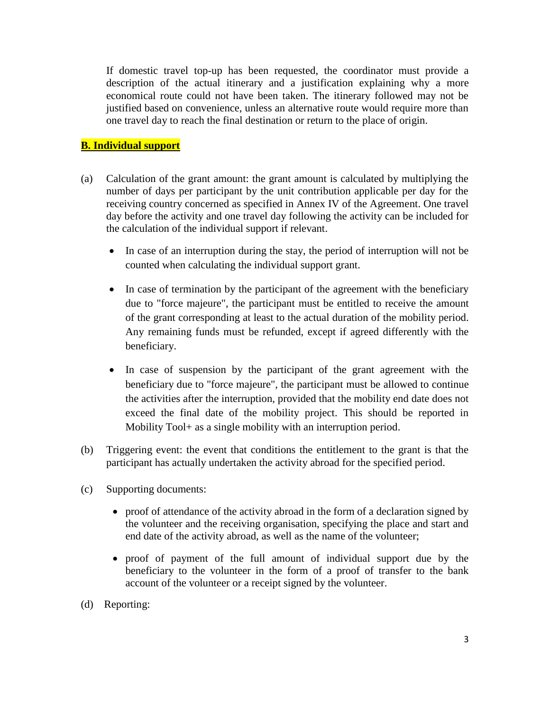If domestic travel top-up has been requested, the coordinator must provide a description of the actual itinerary and a justification explaining why a more economical route could not have been taken. The itinerary followed may not be justified based on convenience, unless an alternative route would require more than one travel day to reach the final destination or return to the place of origin.

# **B. Individual support**

- (a) Calculation of the grant amount: the grant amount is calculated by multiplying the number of days per participant by the unit contribution applicable per day for the receiving country concerned as specified in Annex IV of the Agreement. One travel day before the activity and one travel day following the activity can be included for the calculation of the individual support if relevant.
	- In case of an interruption during the stay, the period of interruption will not be counted when calculating the individual support grant.
	- In case of termination by the participant of the agreement with the beneficiary due to "force majeure", the participant must be entitled to receive the amount of the grant corresponding at least to the actual duration of the mobility period. Any remaining funds must be refunded, except if agreed differently with the beneficiary.
	- In case of suspension by the participant of the grant agreement with the beneficiary due to "force majeure", the participant must be allowed to continue the activities after the interruption, provided that the mobility end date does not exceed the final date of the mobility project. This should be reported in Mobility Tool+ as a single mobility with an interruption period.
- (b) Triggering event: the event that conditions the entitlement to the grant is that the participant has actually undertaken the activity abroad for the specified period.
- (c) Supporting documents:
	- proof of attendance of the activity abroad in the form of a declaration signed by the volunteer and the receiving organisation, specifying the place and start and end date of the activity abroad, as well as the name of the volunteer;
	- proof of payment of the full amount of individual support due by the beneficiary to the volunteer in the form of a proof of transfer to the bank account of the volunteer or a receipt signed by the volunteer.
- (d) Reporting: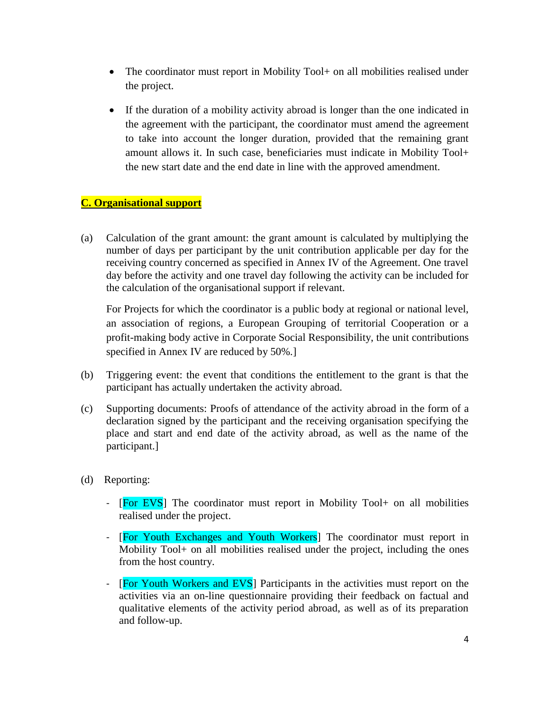- The coordinator must report in Mobility Tool+ on all mobilities realised under the project.
- If the duration of a mobility activity abroad is longer than the one indicated in the agreement with the participant, the coordinator must amend the agreement to take into account the longer duration, provided that the remaining grant amount allows it. In such case, beneficiaries must indicate in Mobility Tool+ the new start date and the end date in line with the approved amendment.

## **C. Organisational support**

(a) Calculation of the grant amount: the grant amount is calculated by multiplying the number of days per participant by the unit contribution applicable per day for the receiving country concerned as specified in Annex IV of the Agreement. One travel day before the activity and one travel day following the activity can be included for the calculation of the organisational support if relevant.

For Projects for which the coordinator is a public body at regional or national level, an association of regions, a European Grouping of territorial Cooperation or a profit-making body active in Corporate Social Responsibility, the unit contributions specified in Annex IV are reduced by 50%.]

- (b) Triggering event: the event that conditions the entitlement to the grant is that the participant has actually undertaken the activity abroad.
- (c) Supporting documents: Proofs of attendance of the activity abroad in the form of a declaration signed by the participant and the receiving organisation specifying the place and start and end date of the activity abroad, as well as the name of the participant.]
- (d) Reporting:
	- [For EVS] The coordinator must report in Mobility Tool + on all mobilities realised under the project.
	- [For Youth Exchanges and Youth Workers] The coordinator must report in Mobility Tool+ on all mobilities realised under the project, including the ones from the host country.
	- [For Youth Workers and EVS] Participants in the activities must report on the activities via an on-line questionnaire providing their feedback on factual and qualitative elements of the activity period abroad, as well as of its preparation and follow-up.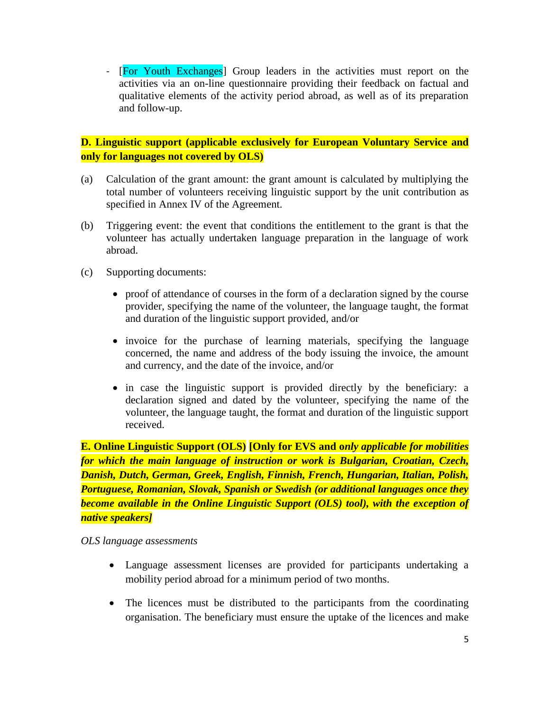- [For Youth Exchanges] Group leaders in the activities must report on the activities via an on-line questionnaire providing their feedback on factual and qualitative elements of the activity period abroad, as well as of its preparation and follow-up.

## **D. Linguistic support (applicable exclusively for European Voluntary Service and only for languages not covered by OLS)**

- (a) Calculation of the grant amount: the grant amount is calculated by multiplying the total number of volunteers receiving linguistic support by the unit contribution as specified in Annex IV of the Agreement.
- (b) Triggering event: the event that conditions the entitlement to the grant is that the volunteer has actually undertaken language preparation in the language of work abroad.
- (c) Supporting documents:
	- proof of attendance of courses in the form of a declaration signed by the course provider, specifying the name of the volunteer, the language taught, the format and duration of the linguistic support provided, and/or
	- invoice for the purchase of learning materials, specifying the language concerned, the name and address of the body issuing the invoice, the amount and currency, and the date of the invoice, and/or
	- in case the linguistic support is provided directly by the beneficiary: a declaration signed and dated by the volunteer, specifying the name of the volunteer, the language taught, the format and duration of the linguistic support received.

**E. Online Linguistic Support (OLS) [Only for EVS and o***nly applicable for mobilities for which the main language of instruction or work is Bulgarian, Croatian, Czech, Danish, Dutch, German, Greek, English, Finnish, French, Hungarian, Italian, Polish, Portuguese, Romanian, Slovak, Spanish or Swedish (or additional languages once they become available in the Online Linguistic Support (OLS) tool), with the exception of native speakers]*

*OLS language assessments*

- Language assessment licenses are provided for participants undertaking a mobility period abroad for a minimum period of two months.
- The licences must be distributed to the participants from the coordinating organisation. The beneficiary must ensure the uptake of the licences and make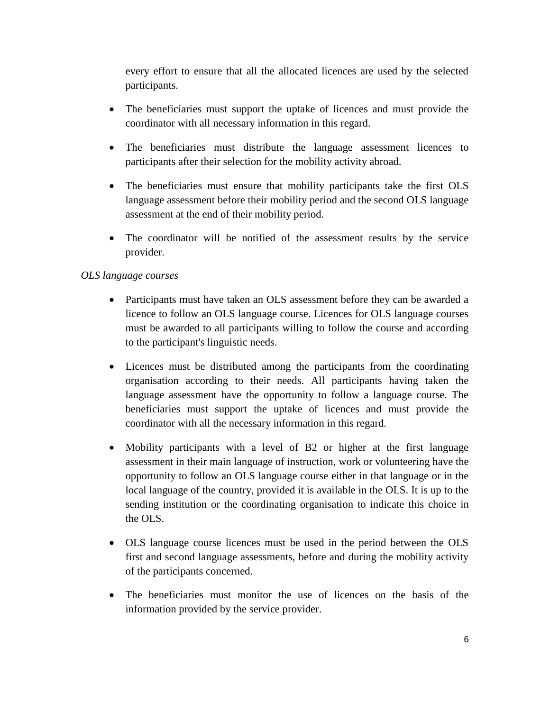every effort to ensure that all the allocated licences are used by the selected participants.

- The beneficiaries must support the uptake of licences and must provide the coordinator with all necessary information in this regard.
- The beneficiaries must distribute the language assessment licences to participants after their selection for the mobility activity abroad.
- The beneficiaries must ensure that mobility participants take the first OLS language assessment before their mobility period and the second OLS language assessment at the end of their mobility period.
- The coordinator will be notified of the assessment results by the service provider.

# *OLS language courses*

- Participants must have taken an OLS assessment before they can be awarded a licence to follow an OLS language course. Licences for OLS language courses must be awarded to all participants willing to follow the course and according to the participant's linguistic needs.
- Licences must be distributed among the participants from the coordinating organisation according to their needs. All participants having taken the language assessment have the opportunity to follow a language course. The beneficiaries must support the uptake of licences and must provide the coordinator with all the necessary information in this regard.
- Mobility participants with a level of B2 or higher at the first language assessment in their main language of instruction, work or volunteering have the opportunity to follow an OLS language course either in that language or in the local language of the country, provided it is available in the OLS. It is up to the sending institution or the coordinating organisation to indicate this choice in the OLS.
- OLS language course licences must be used in the period between the OLS first and second language assessments, before and during the mobility activity of the participants concerned.
- The beneficiaries must monitor the use of licences on the basis of the information provided by the service provider.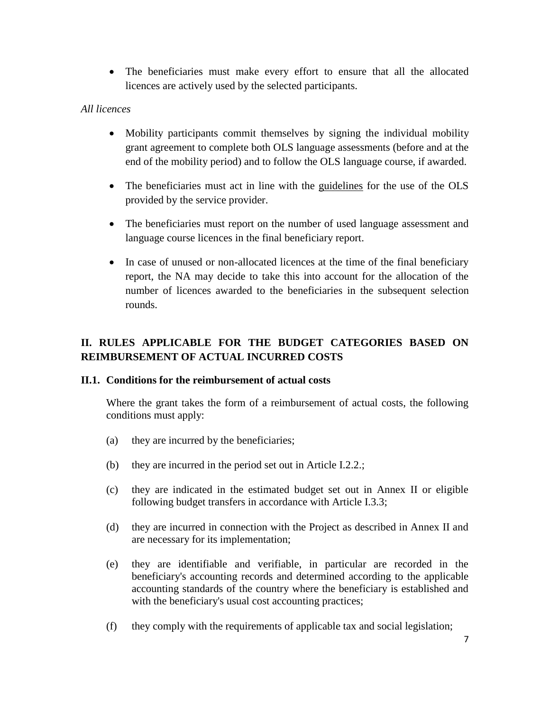The beneficiaries must make every effort to ensure that all the allocated licences are actively used by the selected participants.

# *All licences*

- Mobility participants commit themselves by signing the individual mobility grant agreement to complete both OLS language assessments (before and at the end of the mobility period) and to follow the OLS language course, if awarded.
- The beneficiaries must act in line with the guidelines for the use of the OLS provided by the service provider.
- The beneficiaries must report on the number of used language assessment and language course licences in the final beneficiary report.
- In case of unused or non-allocated licences at the time of the final beneficiary report, the NA may decide to take this into account for the allocation of the number of licences awarded to the beneficiaries in the subsequent selection rounds.

# **II. RULES APPLICABLE FOR THE BUDGET CATEGORIES BASED ON REIMBURSEMENT OF ACTUAL INCURRED COSTS**

## **II.1. Conditions for the reimbursement of actual costs**

Where the grant takes the form of a reimbursement of actual costs, the following conditions must apply:

- (a) they are incurred by the beneficiaries;
- (b) they are incurred in the period set out in Article I.2.2.;
- (c) they are indicated in the estimated budget set out in Annex II or eligible following budget transfers in accordance with Article I.3.3;
- (d) they are incurred in connection with the Project as described in Annex II and are necessary for its implementation;
- (e) they are identifiable and verifiable, in particular are recorded in the beneficiary's accounting records and determined according to the applicable accounting standards of the country where the beneficiary is established and with the beneficiary's usual cost accounting practices;
- (f) they comply with the requirements of applicable tax and social legislation;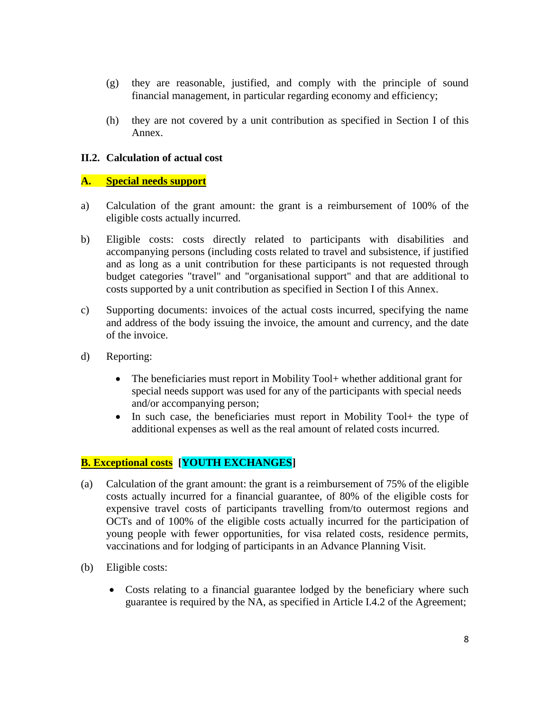- (g) they are reasonable, justified, and comply with the principle of sound financial management, in particular regarding economy and efficiency;
- (h) they are not covered by a unit contribution as specified in Section I of this Annex.

#### **II.2. Calculation of actual cost**

#### **A. Special needs support**

- a) Calculation of the grant amount: the grant is a reimbursement of 100% of the eligible costs actually incurred.
- b) Eligible costs: costs directly related to participants with disabilities and accompanying persons (including costs related to travel and subsistence, if justified and as long as a unit contribution for these participants is not requested through budget categories "travel" and "organisational support" and that are additional to costs supported by a unit contribution as specified in Section I of this Annex.
- c) Supporting documents: invoices of the actual costs incurred, specifying the name and address of the body issuing the invoice, the amount and currency, and the date of the invoice.
- d) Reporting:
	- The beneficiaries must report in Mobility Tool+ whether additional grant for special needs support was used for any of the participants with special needs and/or accompanying person;
	- In such case, the beneficiaries must report in Mobility Tool+ the type of additional expenses as well as the real amount of related costs incurred.

## **B. Exceptional costs [YOUTH EXCHANGES]**

- (a) Calculation of the grant amount: the grant is a reimbursement of 75% of the eligible costs actually incurred for a financial guarantee, of 80% of the eligible costs for expensive travel costs of participants travelling from/to outermost regions and OCTs and of 100% of the eligible costs actually incurred for the participation of young people with fewer opportunities, for visa related costs, residence permits, vaccinations and for lodging of participants in an Advance Planning Visit.
- (b) Eligible costs:
	- Costs relating to a financial guarantee lodged by the beneficiary where such guarantee is required by the NA, as specified in Article I.4.2 of the Agreement;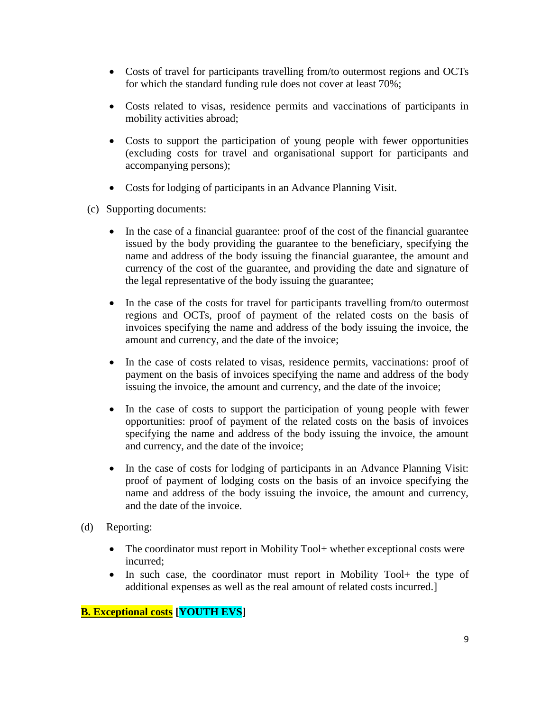- Costs of travel for participants travelling from/to outermost regions and OCTs for which the standard funding rule does not cover at least 70%;
- Costs related to visas, residence permits and vaccinations of participants in mobility activities abroad;
- Costs to support the participation of young people with fewer opportunities (excluding costs for travel and organisational support for participants and accompanying persons);
- Costs for lodging of participants in an Advance Planning Visit.
- (c) Supporting documents:
	- In the case of a financial guarantee: proof of the cost of the financial guarantee issued by the body providing the guarantee to the beneficiary, specifying the name and address of the body issuing the financial guarantee, the amount and currency of the cost of the guarantee, and providing the date and signature of the legal representative of the body issuing the guarantee;
	- In the case of the costs for travel for participants travelling from/to outermost regions and OCTs, proof of payment of the related costs on the basis of invoices specifying the name and address of the body issuing the invoice, the amount and currency, and the date of the invoice;
	- In the case of costs related to visas, residence permits, vaccinations: proof of payment on the basis of invoices specifying the name and address of the body issuing the invoice, the amount and currency, and the date of the invoice;
	- In the case of costs to support the participation of young people with fewer opportunities: proof of payment of the related costs on the basis of invoices specifying the name and address of the body issuing the invoice, the amount and currency, and the date of the invoice;
	- In the case of costs for lodging of participants in an Advance Planning Visit: proof of payment of lodging costs on the basis of an invoice specifying the name and address of the body issuing the invoice, the amount and currency, and the date of the invoice.
- (d) Reporting:
	- The coordinator must report in Mobility Tool + whether exceptional costs were incurred;
	- In such case, the coordinator must report in Mobility Tool + the type of additional expenses as well as the real amount of related costs incurred.]

# **B. Exceptional costs [YOUTH EVS]**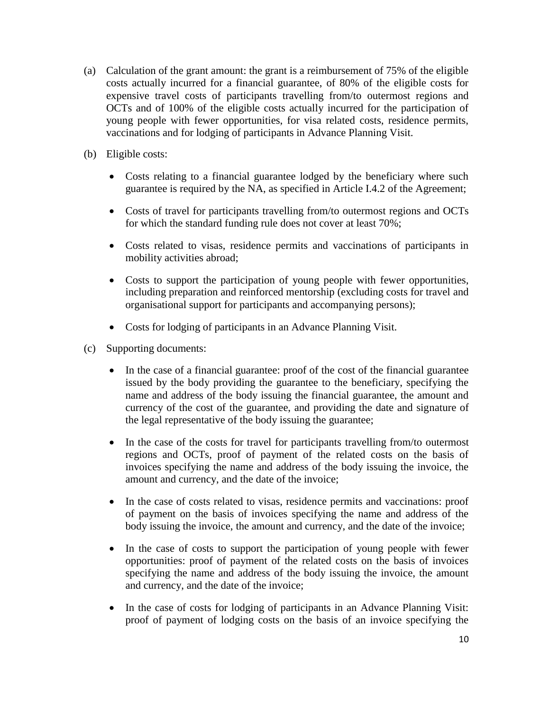- (a) Calculation of the grant amount: the grant is a reimbursement of 75% of the eligible costs actually incurred for a financial guarantee, of 80% of the eligible costs for expensive travel costs of participants travelling from/to outermost regions and OCTs and of 100% of the eligible costs actually incurred for the participation of young people with fewer opportunities, for visa related costs, residence permits, vaccinations and for lodging of participants in Advance Planning Visit.
- (b) Eligible costs:
	- Costs relating to a financial guarantee lodged by the beneficiary where such guarantee is required by the NA, as specified in Article I.4.2 of the Agreement;
	- Costs of travel for participants travelling from/to outermost regions and OCTs for which the standard funding rule does not cover at least 70%;
	- Costs related to visas, residence permits and vaccinations of participants in mobility activities abroad;
	- Costs to support the participation of young people with fewer opportunities, including preparation and reinforced mentorship (excluding costs for travel and organisational support for participants and accompanying persons);
	- Costs for lodging of participants in an Advance Planning Visit.
- (c) Supporting documents:
	- In the case of a financial guarantee: proof of the cost of the financial guarantee issued by the body providing the guarantee to the beneficiary, specifying the name and address of the body issuing the financial guarantee, the amount and currency of the cost of the guarantee, and providing the date and signature of the legal representative of the body issuing the guarantee;
	- In the case of the costs for travel for participants travelling from/to outermost regions and OCTs, proof of payment of the related costs on the basis of invoices specifying the name and address of the body issuing the invoice, the amount and currency, and the date of the invoice;
	- In the case of costs related to visas, residence permits and vaccinations: proof of payment on the basis of invoices specifying the name and address of the body issuing the invoice, the amount and currency, and the date of the invoice;
	- In the case of costs to support the participation of young people with fewer opportunities: proof of payment of the related costs on the basis of invoices specifying the name and address of the body issuing the invoice, the amount and currency, and the date of the invoice;
	- In the case of costs for lodging of participants in an Advance Planning Visit: proof of payment of lodging costs on the basis of an invoice specifying the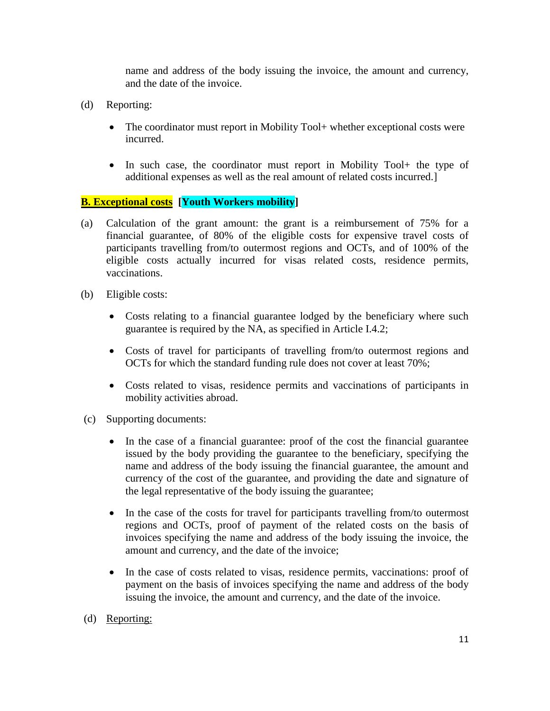name and address of the body issuing the invoice, the amount and currency, and the date of the invoice.

- (d) Reporting:
	- The coordinator must report in Mobility Tool+ whether exceptional costs were incurred.
	- In such case, the coordinator must report in Mobility Tool + the type of additional expenses as well as the real amount of related costs incurred.]

# **B. Exceptional costs [Youth Workers mobility]**

- (a) Calculation of the grant amount: the grant is a reimbursement of 75% for a financial guarantee, of 80% of the eligible costs for expensive travel costs of participants travelling from/to outermost regions and OCTs, and of 100% of the eligible costs actually incurred for visas related costs, residence permits, vaccinations.
- (b) Eligible costs:
	- Costs relating to a financial guarantee lodged by the beneficiary where such guarantee is required by the NA, as specified in Article I.4.2;
	- Costs of travel for participants of travelling from/to outermost regions and OCTs for which the standard funding rule does not cover at least 70%;
	- Costs related to visas, residence permits and vaccinations of participants in mobility activities abroad.
- (c) Supporting documents:
	- In the case of a financial guarantee: proof of the cost the financial guarantee issued by the body providing the guarantee to the beneficiary, specifying the name and address of the body issuing the financial guarantee, the amount and currency of the cost of the guarantee, and providing the date and signature of the legal representative of the body issuing the guarantee;
	- In the case of the costs for travel for participants travelling from/to outermost regions and OCTs, proof of payment of the related costs on the basis of invoices specifying the name and address of the body issuing the invoice, the amount and currency, and the date of the invoice;
	- In the case of costs related to visas, residence permits, vaccinations: proof of payment on the basis of invoices specifying the name and address of the body issuing the invoice, the amount and currency, and the date of the invoice.
- (d) Reporting: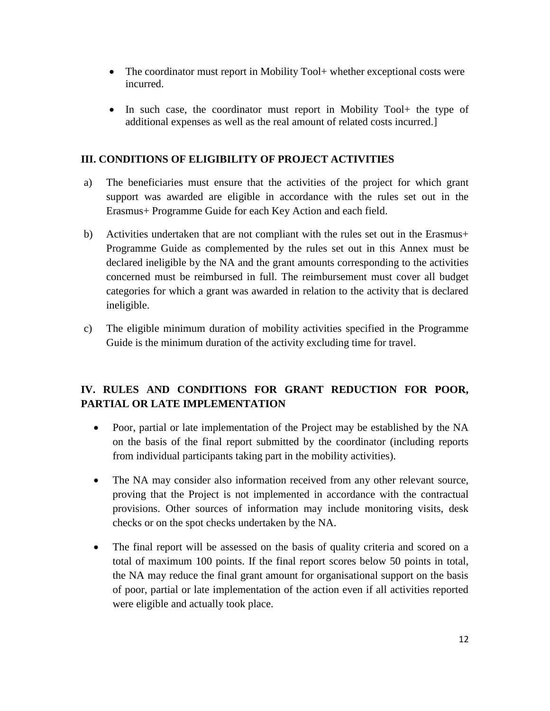- The coordinator must report in Mobility Tool+ whether exceptional costs were incurred.
- In such case, the coordinator must report in Mobility Tool + the type of additional expenses as well as the real amount of related costs incurred.]

### **III. CONDITIONS OF ELIGIBILITY OF PROJECT ACTIVITIES**

- a) The beneficiaries must ensure that the activities of the project for which grant support was awarded are eligible in accordance with the rules set out in the Erasmus+ Programme Guide for each Key Action and each field.
- b) Activities undertaken that are not compliant with the rules set out in the Erasmus+ Programme Guide as complemented by the rules set out in this Annex must be declared ineligible by the NA and the grant amounts corresponding to the activities concerned must be reimbursed in full. The reimbursement must cover all budget categories for which a grant was awarded in relation to the activity that is declared ineligible.
- c) The eligible minimum duration of mobility activities specified in the Programme Guide is the minimum duration of the activity excluding time for travel.

# **IV. RULES AND CONDITIONS FOR GRANT REDUCTION FOR POOR, PARTIAL OR LATE IMPLEMENTATION**

- Poor, partial or late implementation of the Project may be established by the NA on the basis of the final report submitted by the coordinator (including reports from individual participants taking part in the mobility activities).
- The NA may consider also information received from any other relevant source, proving that the Project is not implemented in accordance with the contractual provisions. Other sources of information may include monitoring visits, desk checks or on the spot checks undertaken by the NA.
- The final report will be assessed on the basis of quality criteria and scored on a total of maximum 100 points. If the final report scores below 50 points in total, the NA may reduce the final grant amount for organisational support on the basis of poor, partial or late implementation of the action even if all activities reported were eligible and actually took place.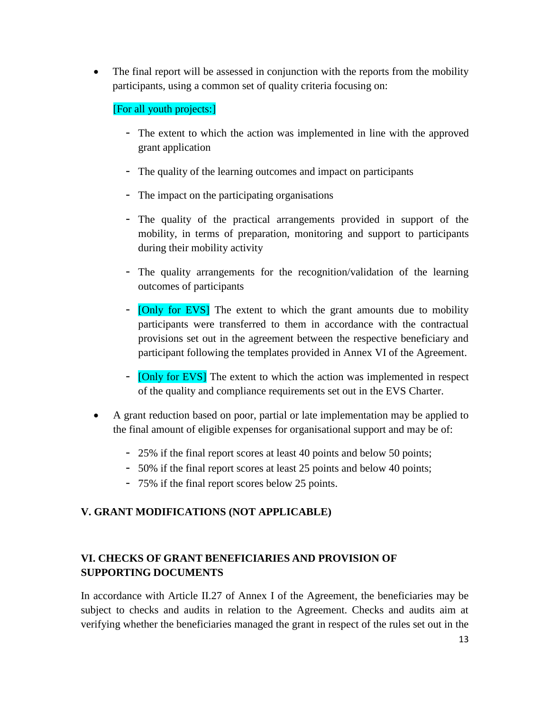The final report will be assessed in conjunction with the reports from the mobility participants, using a common set of quality criteria focusing on:

# [For all youth projects:]

- The extent to which the action was implemented in line with the approved grant application
- The quality of the learning outcomes and impact on participants
- The impact on the participating organisations
- The quality of the practical arrangements provided in support of the mobility, in terms of preparation, monitoring and support to participants during their mobility activity
- The quality arrangements for the recognition/validation of the learning outcomes of participants
- **[Only for EVS]** The extent to which the grant amounts due to mobility participants were transferred to them in accordance with the contractual provisions set out in the agreement between the respective beneficiary and participant following the templates provided in Annex VI of the Agreement.
- [Only for EVS] The extent to which the action was implemented in respect of the quality and compliance requirements set out in the EVS Charter.
- A grant reduction based on poor, partial or late implementation may be applied to the final amount of eligible expenses for organisational support and may be of:
	- 25% if the final report scores at least 40 points and below 50 points;
	- 50% if the final report scores at least 25 points and below 40 points;
	- 75% if the final report scores below 25 points.

## **V. GRANT MODIFICATIONS (NOT APPLICABLE)**

# **VI. CHECKS OF GRANT BENEFICIARIES AND PROVISION OF SUPPORTING DOCUMENTS**

In accordance with Article II.27 of Annex I of the Agreement, the beneficiaries may be subject to checks and audits in relation to the Agreement. Checks and audits aim at verifying whether the beneficiaries managed the grant in respect of the rules set out in the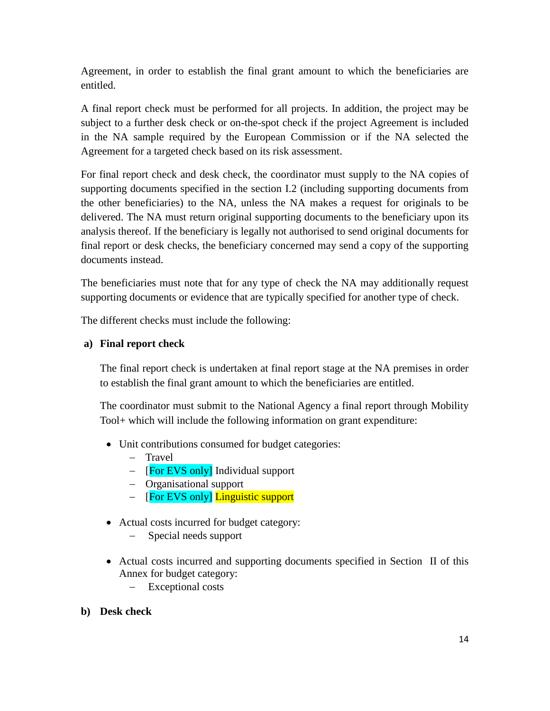Agreement, in order to establish the final grant amount to which the beneficiaries are entitled.

A final report check must be performed for all projects. In addition, the project may be subject to a further desk check or on-the-spot check if the project Agreement is included in the NA sample required by the European Commission or if the NA selected the Agreement for a targeted check based on its risk assessment.

For final report check and desk check, the coordinator must supply to the NA copies of supporting documents specified in the section I.2 (including supporting documents from the other beneficiaries) to the NA, unless the NA makes a request for originals to be delivered. The NA must return original supporting documents to the beneficiary upon its analysis thereof. If the beneficiary is legally not authorised to send original documents for final report or desk checks, the beneficiary concerned may send a copy of the supporting documents instead.

The beneficiaries must note that for any type of check the NA may additionally request supporting documents or evidence that are typically specified for another type of check.

The different checks must include the following:

### **a) Final report check**

The final report check is undertaken at final report stage at the NA premises in order to establish the final grant amount to which the beneficiaries are entitled.

The coordinator must submit to the National Agency a final report through Mobility Tool+ which will include the following information on grant expenditure:

- Unit contributions consumed for budget categories:
	- Travel
	- $\overline{F}$  [For EVS only] Individual support
	- Organisational support
	- [For EVS only] Linguistic support
- Actual costs incurred for budget category:
	- Special needs support
- Actual costs incurred and supporting documents specified in Section II of this Annex for budget category:
	- Exceptional costs
- **b) Desk check**